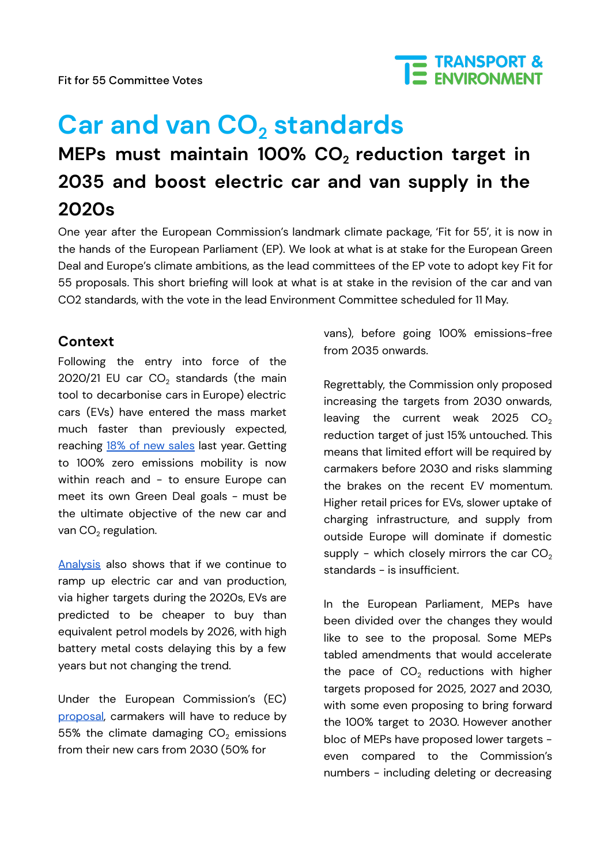Fit for 55 Committee Votes



# **Car and van CO<sup>2</sup> standards MEPs must maintain 100% CO<sup>2</sup> reduction target in 2035 and boost electric car and van supply in the 2020s**

One year after the European Commission's landmark climate package, 'Fit for 55', it is now in the hands of the European Parliament (EP). We look at what is at stake for the European Green Deal and Europe's climate ambitions, as the lead committees of the EP vote to adopt key Fit for 55 proposals. This short briefing will look at what is at stake in the revision of the car and van CO2 standards, with the vote in the lead Environment Committee scheduled for 11 May.

# **Context**

Following the entry into force of the 2020/21 EU car  $CO<sub>2</sub>$  standards (the main tool to decarbonise cars in Europe) electric cars (EVs) have entered the mass market much faster than previously expected, reaching 18% of new [sales](https://www.transportenvironment.org/discover/battery-electric-cars-climb-to-9-of-sales-driven-by-eu-targets/) last year. Getting to 100% zero emissions mobility is now within reach and - to ensure Europe can meet its own Green Deal goals - must be the ultimate objective of the new car and van  $CO<sub>2</sub>$  regulation.

[Analysis](https://www.transportenvironment.org/wp-content/uploads/2021/08/2021_05_05_Electric_vehicle_price_parity_and_adoption_in_Europe_Final.pdf) also shows that if we continue to ramp up electric car and van production, via higher targets during the 2020s, EVs are predicted to be cheaper to buy than equivalent petrol models by 2026, with high battery metal costs delaying this by a few years but not changing the trend.

Under the European Commission's (EC) [proposal](https://eur-lex.europa.eu/legal-content/EN/TXT/?uri=CELEX:52021PC0556), carmakers will have to reduce by 55% the climate damaging  $CO<sub>2</sub>$  emissions from their new cars from 2030 (50% for

vans), before going 100% emissions-free from 2035 onwards.

Regrettably, the Commission only proposed increasing the targets from 2030 onwards, leaving the current weak 2025  $CO<sub>2</sub>$ reduction target of just 15% untouched. This means that limited effort will be required by carmakers before 2030 and risks slamming the brakes on the recent EV momentum. Higher retail prices for EVs, slower uptake of charging infrastructure, and supply from outside Europe will dominate if domestic supply - which closely mirrors the car  $CO<sub>2</sub>$ standards - is insufficient.

In the European Parliament, MEPs have been divided over the changes they would like to see to the proposal. Some MEPs tabled amendments that would accelerate the pace of  $CO<sub>2</sub>$  reductions with higher targets proposed for 2025, 2027 and 2030, with some even proposing to bring forward the 100% target to 2030. However another bloc of MEPs have proposed lower targets even compared to the Commission's numbers - including deleting or decreasing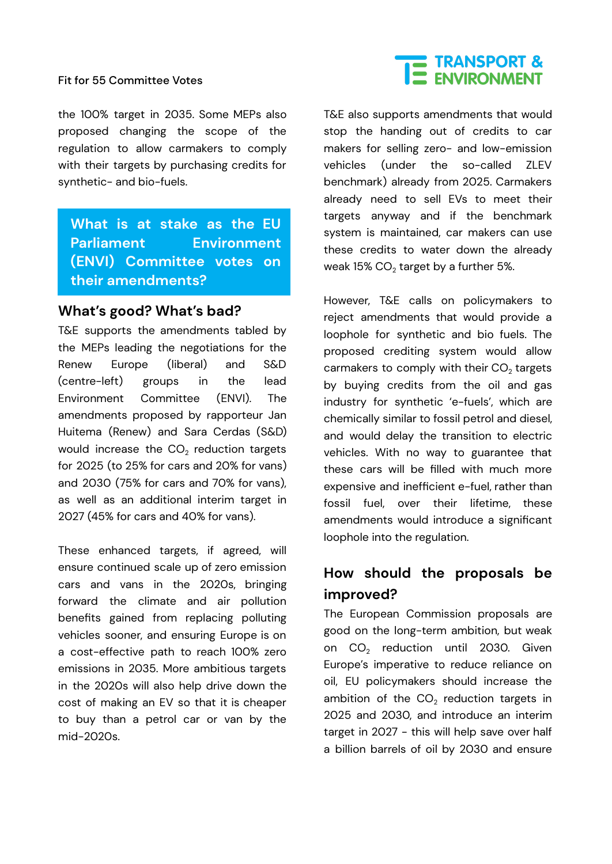#### Fit for 55 Committee Votes

the 100% target in 2035. Some MEPs also proposed changing the scope of the regulation to allow carmakers to comply with their targets by purchasing credits for synthetic- and bio-fuels.

**What is at stake as the EU Parliament Environment (ENVI) Committee votes on their amendments?**

### **What's good? What's bad?**

T&E supports the amendments tabled by the MEPs leading the negotiations for the Renew Europe (liberal) and S&D (centre-left) groups in the lead Environment Committee (ENVI). The amendments proposed by rapporteur Jan Huitema (Renew) and Sara Cerdas (S&D) would increase the  $CO<sub>2</sub>$  reduction targets for 2025 (to 25% for cars and 20% for vans) and 2030 (75% for cars and 70% for vans), as well as an additional interim target in 2027 (45% for cars and 40% for vans).

These enhanced targets, if agreed, will ensure continued scale up of zero emission cars and vans in the 2020s, bringing forward the climate and air pollution benefits gained from replacing polluting vehicles sooner, and ensuring Europe is on a cost-effective path to reach 100% zero emissions in 2035. More ambitious targets in the 2020s will also help drive down the cost of making an EV so that it is cheaper to buy than a petrol car or van by the mid-2020s.

# E TRANSPORT &

T&E also supports amendments that would stop the handing out of credits to car makers for selling zero- and low-emission vehicles (under the so-called ZLEV benchmark) already from 2025. Carmakers already need to sell EVs to meet their targets anyway and if the benchmark system is maintained, car makers can use these credits to water down the already weak  $15\%$  CO<sub>2</sub> target by a further 5%.

However, T&E calls on policymakers to reject amendments that would provide a loophole for synthetic and bio fuels. The proposed crediting system would allow carmakers to comply with their  $CO<sub>2</sub>$  targets by buying credits from the oil and gas industry for synthetic 'e-fuels', which are chemically similar to fossil petrol and diesel, and would delay the transition to electric vehicles. With no way to guarantee that these cars will be filled with much more expensive and inefficient e-fuel, rather than fossil fuel, over their lifetime, these amendments would introduce a significant loophole into the regulation.

# **How should the proposals be improved?**

The European Commission proposals are good on the long-term ambition, but weak on CO<sub>2</sub> reduction until 2030. Given Europe's imperative to reduce reliance on oil, EU policymakers should increase the ambition of the  $CO<sub>2</sub>$  reduction targets in 2025 and 2030, and introduce an interim target in 2027 - this will help save over half a billion barrels of oil by 2030 and ensure